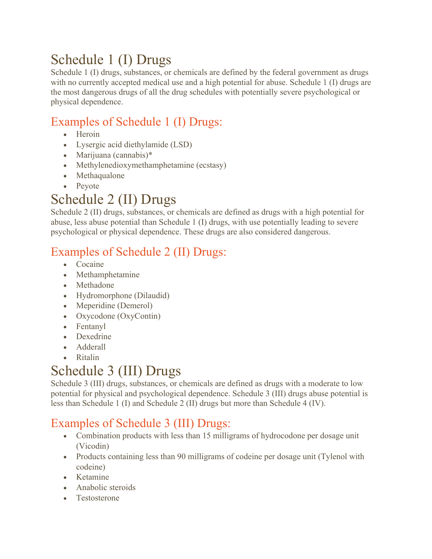# Schedule 1 (I) Drugs

Schedule 1 (I) drugs, substances, or chemicals are defined by the federal government as drugs with no currently accepted medical use and a high potential for abuse. Schedule 1 (I) drugs are the most dangerous drugs of all the drug schedules with potentially severe psychological or physical dependence.

#### Examples of Schedule 1 (I) Drugs:

- Heroin
- Lysergic acid diethylamide (LSD)
- Marijuana (cannabis)\*
- Methylenedioxymethamphetamine (ecstasy)
- Methaqualone
- Peyote

### Schedule 2 (II) Drugs

Schedule 2 (II) drugs, substances, or chemicals are defined as drugs with a high potential for abuse, less abuse potential than Schedule 1 (I) drugs, with use potentially leading to severe psychological or physical dependence. These drugs are also considered dangerous.

### Examples of Schedule 2 (II) Drugs:

- Cocaine
- Methamphetamine
- Methadone
- Hydromorphone (Dilaudid)
- Meperidine (Demerol)
- Oxycodone (OxyContin)
- Fentanyl
- Dexedrine
- Adderall
- Ritalin

## Schedule 3 (III) Drugs

Schedule 3 (III) drugs, substances, or chemicals are defined as drugs with a moderate to low potential for physical and psychological dependence. Schedule 3 (III) drugs abuse potential is less than Schedule 1 (I) and Schedule 2 (II) drugs but more than Schedule 4 (IV).

#### Examples of Schedule 3 (III) Drugs:

- Combination products with less than 15 milligrams of hydrocodone per dosage unit (Vicodin)
- Products containing less than 90 milligrams of codeine per dosage unit (Tylenol with codeine)
- Ketamine
- Anabolic steroids
- Testosterone